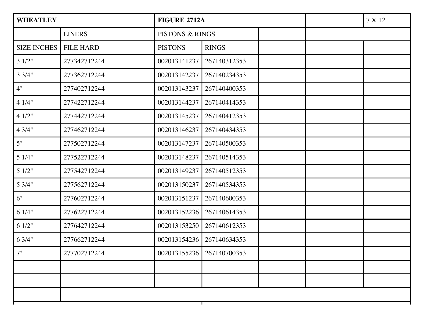| <b>WHEATLEY</b>    |                  | <b>FIGURE 2712A</b>        |                           |  | 7 X 12 |
|--------------------|------------------|----------------------------|---------------------------|--|--------|
|                    | <b>LINERS</b>    | <b>PISTONS &amp; RINGS</b> |                           |  |        |
| <b>SIZE INCHES</b> | <b>FILE HARD</b> | <b>PISTONS</b>             | <b>RINGS</b>              |  |        |
| 31/2"              | 277342712244     | 002013141237               | 267140312353              |  |        |
| $3 \frac{3}{4}$    | 277362712244     | 002013142237               | 267140234353              |  |        |
| 4"                 | 277402712244     | 002013143237               | 267140400353              |  |        |
| 41/4"              | 277422712244     | 002013144237               | 267140414353              |  |        |
| 41/2"              | 277442712244     | 002013145237               | 267140412353              |  |        |
| 43/4"              | 277462712244     | 002013146237               | 267140434353              |  |        |
| 5"                 | 277502712244     | 002013147237               | 267140500353              |  |        |
| 51/4"              | 277522712244     | 002013148237               | 267140514353              |  |        |
| 51/2"              | 277542712244     | 002013149237               | 267140512353              |  |        |
| 53/4"              | 277562712244     | 002013150237               | 267140534353              |  |        |
| 6"                 | 277602712244     | 002013151237               | 267140600353              |  |        |
| 61/4"              | 277622712244     | 002013152236               | 267140614353              |  |        |
| 61/2"              | 277642712244     | 002013153250               | 267140612353              |  |        |
| 63/4"              | 277662712244     | 002013154236               | 267140634353              |  |        |
| 7"                 | 277702712244     |                            | 002013155236 267140700353 |  |        |
|                    |                  |                            |                           |  |        |
|                    |                  |                            |                           |  |        |
|                    |                  |                            |                           |  |        |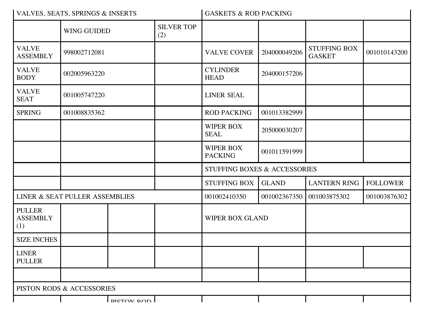| VALVES, SEATS, SPRINGS & INSERTS        |                           |                   | <b>GASKETS &amp; ROD PACKING</b> |                                         |              |                                      |                 |  |
|-----------------------------------------|---------------------------|-------------------|----------------------------------|-----------------------------------------|--------------|--------------------------------------|-----------------|--|
|                                         | <b>WING GUIDED</b>        |                   | <b>SILVER TOP</b><br>(2)         |                                         |              |                                      |                 |  |
| <b>VALVE</b><br><b>ASSEMBLY</b>         | 998002712081              |                   |                                  | <b>VALVE COVER</b>                      | 204000049206 | <b>STUFFING BOX</b><br><b>GASKET</b> | 001010143200    |  |
| <b>VALVE</b><br><b>BODY</b>             | 002005963220              |                   |                                  | <b>CYLINDER</b><br><b>HEAD</b>          | 204000157206 |                                      |                 |  |
| <b>VALVE</b><br><b>SEAT</b>             | 001005747220              |                   |                                  | <b>LINER SEAL</b>                       |              |                                      |                 |  |
| <b>SPRING</b>                           | 001008835362              |                   |                                  | <b>ROD PACKING</b>                      | 001013382999 |                                      |                 |  |
|                                         |                           |                   |                                  | <b>WIPER BOX</b><br><b>SEAL</b>         | 205000030207 |                                      |                 |  |
|                                         |                           |                   |                                  | <b>WIPER BOX</b><br><b>PACKING</b>      | 001011591999 |                                      |                 |  |
|                                         |                           |                   |                                  | <b>STUFFING BOXES &amp; ACCESSORIES</b> |              |                                      |                 |  |
|                                         |                           |                   |                                  | <b>STUFFING BOX</b>                     | <b>GLAND</b> | <b>LANTERN RING</b>                  | <b>FOLLOWER</b> |  |
| LINER & SEAT PULLER ASSEMBLIES          |                           |                   | 001002410350                     | 001002367350                            | 001003875302 | 001003876302                         |                 |  |
| <b>PULLER</b><br><b>ASSEMBLY</b><br>(1) |                           |                   |                                  | <b>WIPER BOX GLAND</b>                  |              |                                      |                 |  |
| <b>SIZE INCHES</b>                      |                           |                   |                                  |                                         |              |                                      |                 |  |
| <b>LINER</b><br><b>PULLER</b>           |                           |                   |                                  |                                         |              |                                      |                 |  |
|                                         |                           |                   |                                  |                                         |              |                                      |                 |  |
|                                         | PISTON RODS & ACCESSORIES |                   |                                  |                                         |              |                                      |                 |  |
|                                         |                           | <b>DICTOM DOD</b> |                                  |                                         |              |                                      |                 |  |